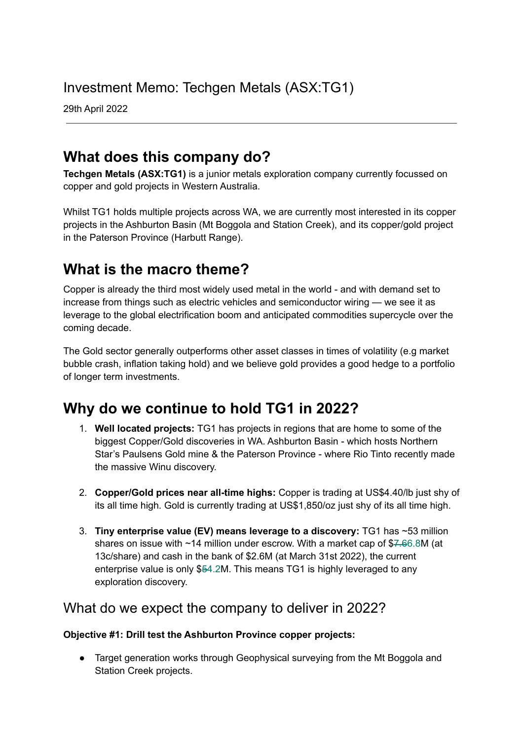# Investment Memo: Techgen Metals (ASX:TG1)

29th April 2022

## **What does this company do?**

**Techgen Metals (ASX:TG1)** is a junior metals exploration company currently focussed on copper and gold projects in Western Australia.

Whilst TG1 holds multiple projects across WA, we are currently most interested in its copper projects in the Ashburton Basin (Mt Boggola and Station Creek), and its copper/gold project in the Paterson Province (Harbutt Range).

## **What is the macro theme?**

Copper is already the third most widely used metal in the world - and with demand set to increase from things such as electric vehicles and semiconductor wiring — we see it as leverage to the global electrification boom and anticipated commodities supercycle over the coming decade.

The Gold sector generally outperforms other asset classes in times of volatility (e.g market bubble crash, inflation taking hold) and we believe gold provides a good hedge to a portfolio of longer term investments.

## **Why do we continue to hold TG1 in 2022?**

- 1. **Well located projects:** TG1 has projects in regions that are home to some of the biggest Copper/Gold discoveries in WA. Ashburton Basin - which hosts Northern Star's Paulsens Gold mine & the Paterson Province - where Rio Tinto recently made the massive Winu discovery.
- 2. **Copper/Gold prices near all-time highs:** Copper is trading at US\$4.40/lb just shy of its all time high. Gold is currently trading at US\$1,850/oz just shy of its all time high.
- 3. **Tiny enterprise value (EV) means leverage to a discovery:** TG1 has ~53 million shares on issue with  $\sim$ 14 million under escrow. With a market cap of \$7.66.8M (at 13c/share) and cash in the bank of \$2.6M (at March 31st 2022), the current enterprise value is only \$54.2M. This means TG1 is highly leveraged to any exploration discovery.

### What do we expect the company to deliver in 2022?

### **Objective #1: Drill test the Ashburton Province copper projects:**

● Target generation works through Geophysical surveying from the Mt Boggola and Station Creek projects.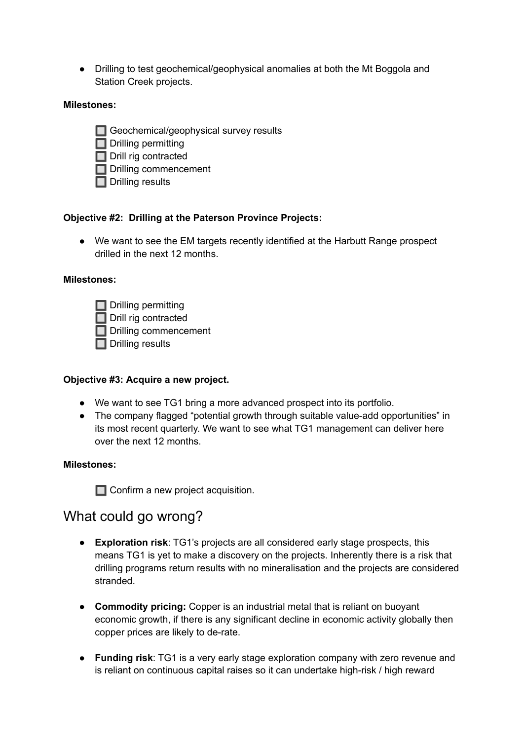● Drilling to test geochemical/geophysical anomalies at both the Mt Boggola and Station Creek projects.

#### **Milestones:**

- Geochemical/geophysical survey results
- $\Box$  Drilling permitting
- Drill rig contracted
- Drilling commencement
- $\Box$  Drilling results

#### **Objective #2: Drilling at the Paterson Province Projects:**

● We want to see the EM targets recently identified at the Harbutt Range prospect drilled in the next 12 months.

#### **Milestones:**

 $\Box$  Drilling permitting  $\Box$  Drill rig contracted Drilling commencement  $\Box$  Drilling results

#### **Objective #3: Acquire a new project.**

- We want to see TG1 bring a more advanced prospect into its portfolio.
- The company flagged "potential growth through suitable value-add opportunities" in its most recent quarterly. We want to see what TG1 management can deliver here over the next 12 months.

#### **Milestones:**

**Confirm a new project acquisition.** 

### What could go wrong?

- **Exploration risk**: TG1's projects are all considered early stage prospects, this means TG1 is yet to make a discovery on the projects. Inherently there is a risk that drilling programs return results with no mineralisation and the projects are considered stranded.
- **Commodity pricing:** Copper is an industrial metal that is reliant on buoyant economic growth, if there is any significant decline in economic activity globally then copper prices are likely to de-rate.
- **Funding risk**: TG1 is a very early stage exploration company with zero revenue and is reliant on continuous capital raises so it can undertake high-risk / high reward